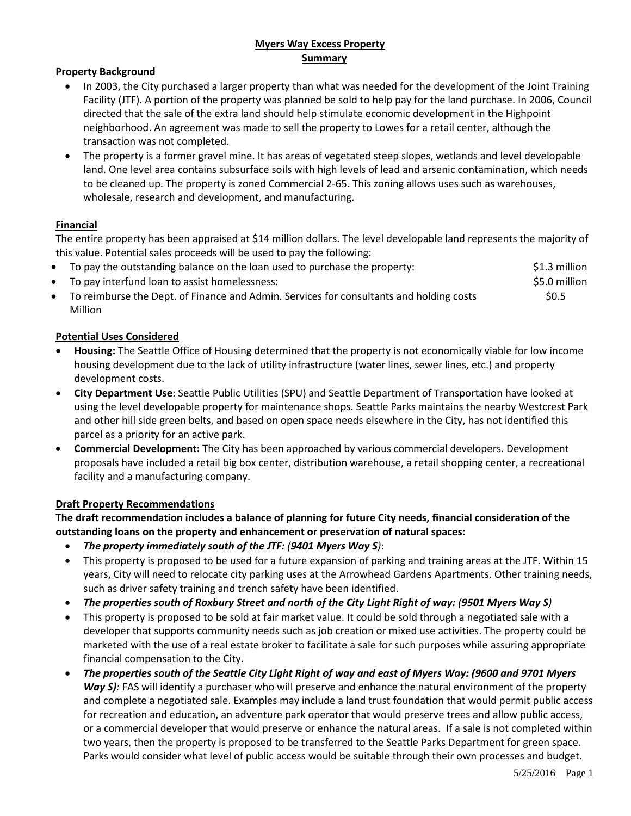# **Myers Way Excess Property Summary**

## **Property Background**

- In 2003, the City purchased a larger property than what was needed for the development of the Joint Training Facility (JTF). A portion of the property was planned be sold to help pay for the land purchase. In 2006, Council directed that the sale of the extra land should help stimulate economic development in the Highpoint neighborhood. An agreement was made to sell the property to Lowes for a retail center, although the transaction was not completed.
- The property is a former gravel mine. It has areas of vegetated steep slopes, wetlands and level developable land. One level area contains subsurface soils with high levels of lead and arsenic contamination, which needs to be cleaned up. The property is zoned Commercial 2-65. This zoning allows uses such as warehouses, wholesale, research and development, and manufacturing.

## **Financial**

The entire property has been appraised at \$14 million dollars. The level developable land represents the majority of this value. Potential sales proceeds will be used to pay the following:

- To pay the outstanding balance on the loan used to purchase the property: \$1.3 million
- To pay interfund loan to assist homelessness:  $\sim$  \$5.0 million
- To reimburse the Dept. of Finance and Admin. Services for consultants and holding costs \$0.5 Million

## **Potential Uses Considered**

- **Housing:** The Seattle Office of Housing determined that the property is not economically viable for low income housing development due to the lack of utility infrastructure (water lines, sewer lines, etc.) and property development costs.
- **City Department Use**: Seattle Public Utilities (SPU) and Seattle Department of Transportation have looked at using the level developable property for maintenance shops. Seattle Parks maintains the nearby Westcrest Park and other hill side green belts, and based on open space needs elsewhere in the City, has not identified this parcel as a priority for an active park.
- **Commercial Development:** The City has been approached by various commercial developers. Development proposals have included a retail big box center, distribution warehouse, a retail shopping center, a recreational facility and a manufacturing company.

# **Draft Property Recommendations**

**The draft recommendation includes a balance of planning for future City needs, financial consideration of the outstanding loans on the property and enhancement or preservation of natural spaces:**

- *The property immediately south of the JTF: (9401 Myers Way S)*:
- This property is proposed to be used for a future expansion of parking and training areas at the JTF. Within 15 years, City will need to relocate city parking uses at the Arrowhead Gardens Apartments. Other training needs, such as driver safety training and trench safety have been identified.
- *The properties south of Roxbury Street and north of the City Light Right of way: (9501 Myers Way S)*
- This property is proposed to be sold at fair market value. It could be sold through a negotiated sale with a developer that supports community needs such as job creation or mixed use activities. The property could be marketed with the use of a real estate broker to facilitate a sale for such purposes while assuring appropriate financial compensation to the City.
- *The properties south of the Seattle City Light Right of way and east of Myers Way: (9600 and 9701 Myers Way S)*: FAS will identify a purchaser who will preserve and enhance the natural environment of the property and complete a negotiated sale. Examples may include a land trust foundation that would permit public access for recreation and education, an adventure park operator that would preserve trees and allow public access, or a commercial developer that would preserve or enhance the natural areas. If a sale is not completed within two years, then the property is proposed to be transferred to the Seattle Parks Department for green space. Parks would consider what level of public access would be suitable through their own processes and budget.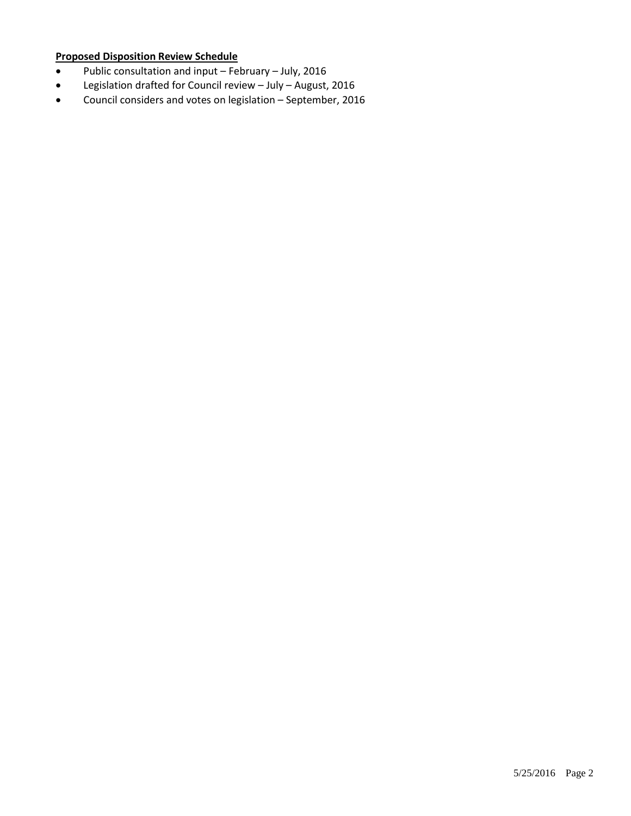# **Proposed Disposition Review Schedule**

- Public consultation and input February July, 2016
- Legislation drafted for Council review July August, 2016
- Council considers and votes on legislation September, 2016